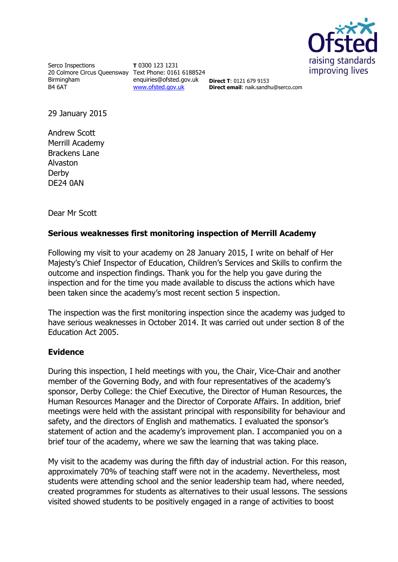

Serco Inspections 20 Colmore Circus Queensway Text Phone: 0161 6188524 Birmingham B4 6AT

**T** 0300 123 1231 enquiries@ofsted.gov.uk [www.ofsted.gov.uk](http://www.ofsted.gov.uk/)

**Direct T**: 0121 679 9153 **Direct email**: naik.sandhu@serco.com

29 January 2015

Andrew Scott Merrill Academy Brackens Lane Alvaston Derby DE24 0AN

Dear Mr Scott

## **Serious weaknesses first monitoring inspection of Merrill Academy**

Following my visit to your academy on 28 January 2015, I write on behalf of Her Majesty's Chief Inspector of Education, Children's Services and Skills to confirm the outcome and inspection findings. Thank you for the help you gave during the inspection and for the time you made available to discuss the actions which have been taken since the academy's most recent section 5 inspection.

The inspection was the first monitoring inspection since the academy was judged to have serious weaknesses in October 2014. It was carried out under section 8 of the Education Act 2005.

## **Evidence**

During this inspection, I held meetings with you, the Chair, Vice-Chair and another member of the Governing Body, and with four representatives of the academy's sponsor, Derby College: the Chief Executive, the Director of Human Resources, the Human Resources Manager and the Director of Corporate Affairs. In addition, brief meetings were held with the assistant principal with responsibility for behaviour and safety, and the directors of English and mathematics. I evaluated the sponsor's statement of action and the academy's improvement plan. I accompanied you on a brief tour of the academy, where we saw the learning that was taking place.

My visit to the academy was during the fifth day of industrial action. For this reason, approximately 70% of teaching staff were not in the academy. Nevertheless, most students were attending school and the senior leadership team had, where needed, created programmes for students as alternatives to their usual lessons. The sessions visited showed students to be positively engaged in a range of activities to boost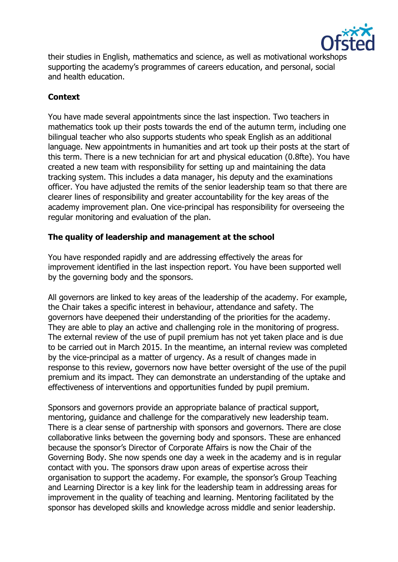

their studies in English, mathematics and science, as well as motivational workshops supporting the academy's programmes of careers education, and personal, social and health education.

## **Context**

You have made several appointments since the last inspection. Two teachers in mathematics took up their posts towards the end of the autumn term, including one bilingual teacher who also supports students who speak English as an additional language. New appointments in humanities and art took up their posts at the start of this term. There is a new technician for art and physical education (0.8fte). You have created a new team with responsibility for setting up and maintaining the data tracking system. This includes a data manager, his deputy and the examinations officer. You have adjusted the remits of the senior leadership team so that there are clearer lines of responsibility and greater accountability for the key areas of the academy improvement plan. One vice-principal has responsibility for overseeing the regular monitoring and evaluation of the plan.

## **The quality of leadership and management at the school**

You have responded rapidly and are addressing effectively the areas for improvement identified in the last inspection report. You have been supported well by the governing body and the sponsors.

All governors are linked to key areas of the leadership of the academy. For example, the Chair takes a specific interest in behaviour, attendance and safety. The governors have deepened their understanding of the priorities for the academy. They are able to play an active and challenging role in the monitoring of progress. The external review of the use of pupil premium has not yet taken place and is due to be carried out in March 2015. In the meantime, an internal review was completed by the vice-principal as a matter of urgency. As a result of changes made in response to this review, governors now have better oversight of the use of the pupil premium and its impact. They can demonstrate an understanding of the uptake and effectiveness of interventions and opportunities funded by pupil premium.

Sponsors and governors provide an appropriate balance of practical support, mentoring, guidance and challenge for the comparatively new leadership team. There is a clear sense of partnership with sponsors and governors. There are close collaborative links between the governing body and sponsors. These are enhanced because the sponsor's Director of Corporate Affairs is now the Chair of the Governing Body. She now spends one day a week in the academy and is in regular contact with you. The sponsors draw upon areas of expertise across their organisation to support the academy. For example, the sponsor's Group Teaching and Learning Director is a key link for the leadership team in addressing areas for improvement in the quality of teaching and learning. Mentoring facilitated by the sponsor has developed skills and knowledge across middle and senior leadership.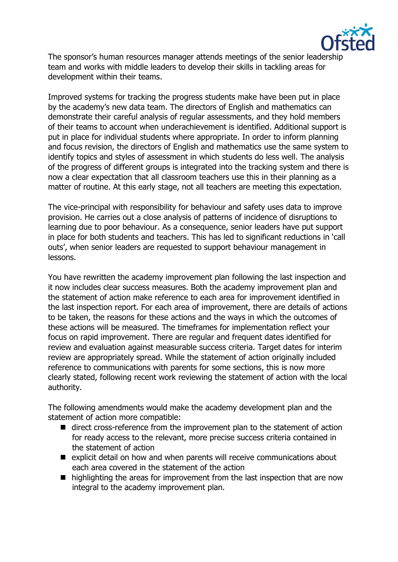

The sponsor's human resources manager attends meetings of the senior leadership team and works with middle leaders to develop their skills in tackling areas for development within their teams.

Improved systems for tracking the progress students make have been put in place by the academy's new data team. The directors of English and mathematics can demonstrate their careful analysis of regular assessments, and they hold members of their teams to account when underachievement is identified. Additional support is put in place for individual students where appropriate. In order to inform planning and focus revision, the directors of English and mathematics use the same system to identify topics and styles of assessment in which students do less well. The analysis of the progress of different groups is integrated into the tracking system and there is now a clear expectation that all classroom teachers use this in their planning as a matter of routine. At this early stage, not all teachers are meeting this expectation.

The vice-principal with responsibility for behaviour and safety uses data to improve provision. He carries out a close analysis of patterns of incidence of disruptions to learning due to poor behaviour. As a consequence, senior leaders have put support in place for both students and teachers. This has led to significant reductions in 'call outs', when senior leaders are requested to support behaviour management in lessons.

You have rewritten the academy improvement plan following the last inspection and it now includes clear success measures. Both the academy improvement plan and the statement of action make reference to each area for improvement identified in the last inspection report. For each area of improvement, there are details of actions to be taken, the reasons for these actions and the ways in which the outcomes of these actions will be measured. The timeframes for implementation reflect your focus on rapid improvement. There are regular and frequent dates identified for review and evaluation against measurable success criteria. Target dates for interim review are appropriately spread. While the statement of action originally included reference to communications with parents for some sections, this is now more clearly stated, following recent work reviewing the statement of action with the local authority.

The following amendments would make the academy development plan and the statement of action more compatible:

- direct cross-reference from the improvement plan to the statement of action for ready access to the relevant, more precise success criteria contained in the statement of action
- $\blacksquare$  explicit detail on how and when parents will receive communications about each area covered in the statement of the action
- highlighting the areas for improvement from the last inspection that are now integral to the academy improvement plan.